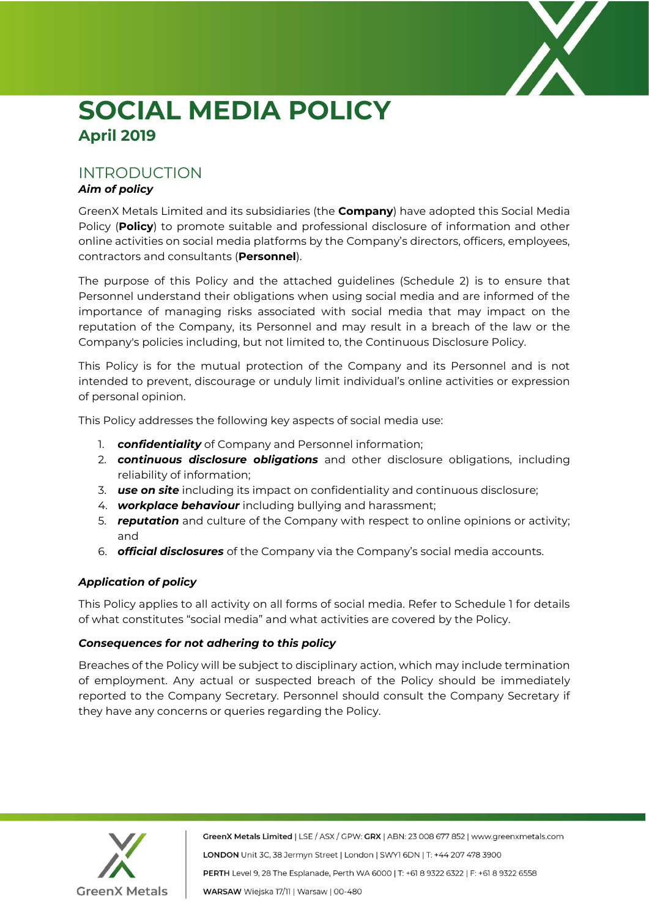

# **SOCIAL MEDIA POLICY April 2019**

# INTRODUCTION

# *Aim of policy*

GreenX Metals Limited and its subsidiaries (the **Company**) have adopted this Social Media Policy (**Policy**) to promote suitable and professional disclosure of information and other online activities on social media platforms by the Company's directors, officers, employees, contractors and consultants (**Personnel**).

The purpose of this Policy and the attached guidelines (Schedule 2) is to ensure that Personnel understand their obligations when using social media and are informed of the importance of managing risks associated with social media that may impact on the reputation of the Company, its Personnel and may result in a breach of the law or the Company's policies including, but not limited to, the Continuous Disclosure Policy.

This Policy is for the mutual protection of the Company and its Personnel and is not intended to prevent, discourage or unduly limit individual's online activities or expression of personal opinion.

This Policy addresses the following key aspects of social media use:

- 1. *confidentiality* of Company and Personnel information;
- 2. *continuous disclosure obligations* and other disclosure obligations, including reliability of information;
- 3. *use on site* including its impact on confidentiality and continuous disclosure;
- 4. *workplace behaviour* including bullying and harassment;
- 5. *reputation* and culture of the Company with respect to online opinions or activity; and
- 6. *official disclosures* of the Company via the Company's social media accounts.

# *Application of policy*

This Policy applies to all activity on all forms of social media. Refer to Schedule 1 for details of what constitutes "social media" and what activities are covered by the Policy.

# *Consequences for not adhering to this policy*

Breaches of the Policy will be subject to disciplinary action, which may include termination of employment. Any actual or suspected breach of the Policy should be immediately reported to the Company Secretary. Personnel should consult the Company Secretary if they have any concerns or queries regarding the Policy.



GreenX Metals Limited | LSE / ASX / GPW: GRX | ABN: 23 008 677 852 | www.greenxmetals.com LONDON Unit 3C, 38 Jermyn Street | London | SWY1 6DN | T: +44 207 478 3900 PERTH Level 9, 28 The Esplanade, Perth WA 6000 | T: +61 8 9322 6322 | F: +61 8 9322 6558 WARSAW Wiejska 17/11 | Warsaw | 00-480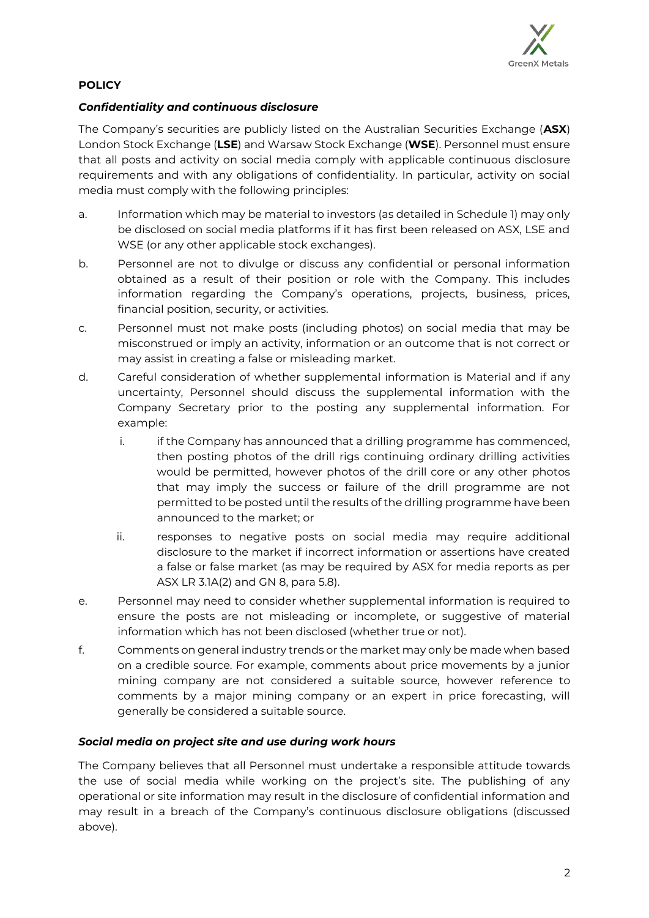

# **POLICY**

#### *Confidentiality and continuous disclosure*

The Company's securities are publicly listed on the Australian Securities Exchange (**ASX**) London Stock Exchange (**LSE**) and Warsaw Stock Exchange (**WSE**). Personnel must ensure that all posts and activity on social media comply with applicable continuous disclosure requirements and with any obligations of confidentiality. In particular, activity on social media must comply with the following principles:

- a. Information which may be material to investors (as detailed in Schedule 1) may only be disclosed on social media platforms if it has first been released on ASX, LSE and WSE (or any other applicable stock exchanges).
- b. Personnel are not to divulge or discuss any confidential or personal information obtained as a result of their position or role with the Company. This includes information regarding the Company's operations, projects, business, prices, financial position, security, or activities.
- c. Personnel must not make posts (including photos) on social media that may be misconstrued or imply an activity, information or an outcome that is not correct or may assist in creating a false or misleading market.
- d. Careful consideration of whether supplemental information is Material and if any uncertainty, Personnel should discuss the supplemental information with the Company Secretary prior to the posting any supplemental information. For example:
	- i. if the Company has announced that a drilling programme has commenced, then posting photos of the drill rigs continuing ordinary drilling activities would be permitted, however photos of the drill core or any other photos that may imply the success or failure of the drill programme are not permitted to be posted until the results of the drilling programme have been announced to the market; or
	- ii. responses to negative posts on social media may require additional disclosure to the market if incorrect information or assertions have created a false or false market (as may be required by ASX for media reports as per ASX LR 3.1A(2) and GN 8, para 5.8).
- e. Personnel may need to consider whether supplemental information is required to ensure the posts are not misleading or incomplete, or suggestive of material information which has not been disclosed (whether true or not).
- f. Comments on general industry trends or the market may only be made when based on a credible source. For example, comments about price movements by a junior mining company are not considered a suitable source, however reference to comments by a major mining company or an expert in price forecasting, will generally be considered a suitable source.

#### *Social media on project site and use during work hours*

The Company believes that all Personnel must undertake a responsible attitude towards the use of social media while working on the project's site. The publishing of any operational or site information may result in the disclosure of confidential information and may result in a breach of the Company's continuous disclosure obligations (discussed above).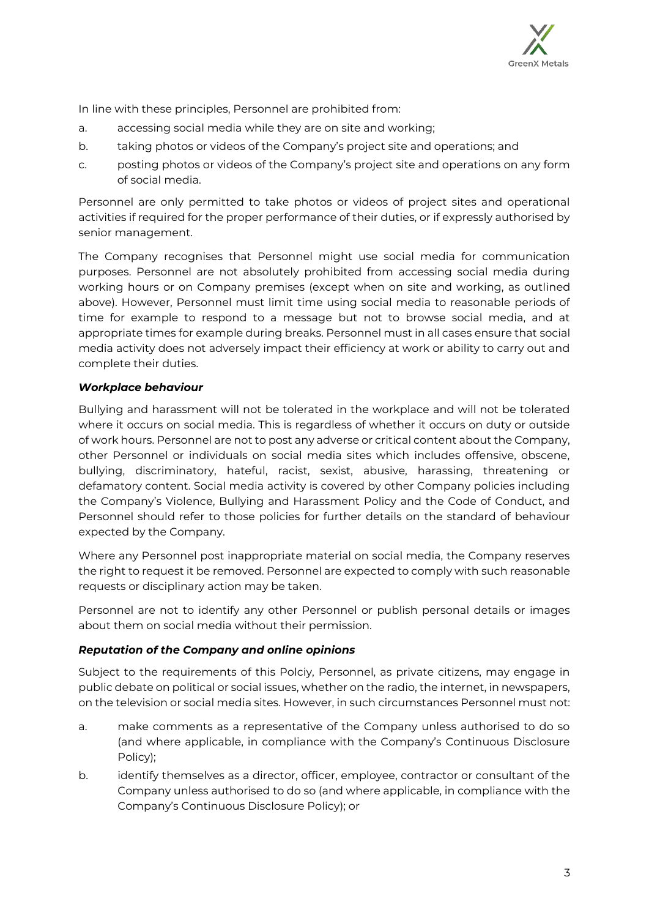

In line with these principles, Personnel are prohibited from:

- a. accessing social media while they are on site and working;
- b. taking photos or videos of the Company's project site and operations; and
- c. posting photos or videos of the Company's project site and operations on any form of social media.

Personnel are only permitted to take photos or videos of project sites and operational activities if required for the proper performance of their duties, or if expressly authorised by senior management.

The Company recognises that Personnel might use social media for communication purposes. Personnel are not absolutely prohibited from accessing social media during working hours or on Company premises (except when on site and working, as outlined above). However, Personnel must limit time using social media to reasonable periods of time for example to respond to a message but not to browse social media, and at appropriate times for example during breaks. Personnel must in all cases ensure that social media activity does not adversely impact their efficiency at work or ability to carry out and complete their duties.

#### *Workplace behaviour*

Bullying and harassment will not be tolerated in the workplace and will not be tolerated where it occurs on social media. This is regardless of whether it occurs on duty or outside of work hours. Personnel are not to post any adverse or critical content about the Company, other Personnel or individuals on social media sites which includes offensive, obscene, bullying, discriminatory, hateful, racist, sexist, abusive, harassing, threatening or defamatory content. Social media activity is covered by other Company policies including the Company's Violence, Bullying and Harassment Policy and the Code of Conduct, and Personnel should refer to those policies for further details on the standard of behaviour expected by the Company.

Where any Personnel post inappropriate material on social media, the Company reserves the right to request it be removed. Personnel are expected to comply with such reasonable requests or disciplinary action may be taken.

Personnel are not to identify any other Personnel or publish personal details or images about them on social media without their permission.

#### *Reputation of the Company and online opinions*

Subject to the requirements of this Polciy, Personnel, as private citizens, may engage in public debate on political or social issues, whether on the radio, the internet, in newspapers, on the television or social media sites. However, in such circumstances Personnel must not:

- a. make comments as a representative of the Company unless authorised to do so (and where applicable, in compliance with the Company's Continuous Disclosure Policy);
- b. identify themselves as a director, officer, employee, contractor or consultant of the Company unless authorised to do so (and where applicable, in compliance with the Company's Continuous Disclosure Policy); or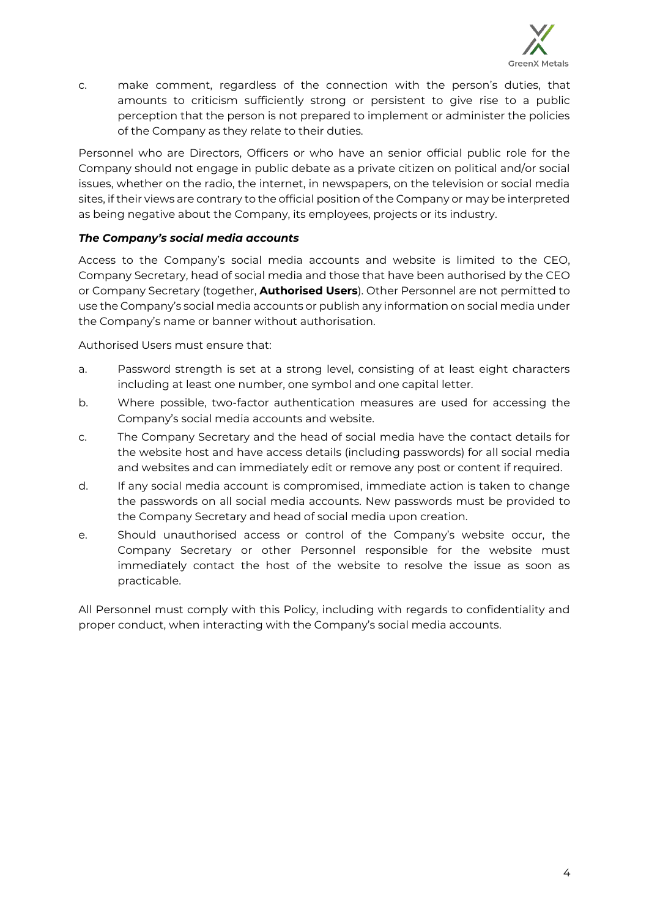

c. make comment, regardless of the connection with the person's duties, that amounts to criticism sufficiently strong or persistent to give rise to a public perception that the person is not prepared to implement or administer the policies of the Company as they relate to their duties.

Personnel who are Directors, Officers or who have an senior official public role for the Company should not engage in public debate as a private citizen on political and/or social issues, whether on the radio, the internet, in newspapers, on the television or social media sites, if their views are contrary to the official position of the Company or may be interpreted as being negative about the Company, its employees, projects or its industry.

# *The Company's social media accounts*

Access to the Company's social media accounts and website is limited to the CEO, Company Secretary, head of social media and those that have been authorised by the CEO or Company Secretary (together, **Authorised Users**). Other Personnel are not permitted to use the Company's social media accounts or publish any information on social media under the Company's name or banner without authorisation.

Authorised Users must ensure that:

- a. Password strength is set at a strong level, consisting of at least eight characters including at least one number, one symbol and one capital letter.
- b. Where possible, two-factor authentication measures are used for accessing the Company's social media accounts and website.
- c. The Company Secretary and the head of social media have the contact details for the website host and have access details (including passwords) for all social media and websites and can immediately edit or remove any post or content if required.
- d. If any social media account is compromised, immediate action is taken to change the passwords on all social media accounts. New passwords must be provided to the Company Secretary and head of social media upon creation.
- e. Should unauthorised access or control of the Company's website occur, the Company Secretary or other Personnel responsible for the website must immediately contact the host of the website to resolve the issue as soon as practicable.

All Personnel must comply with this Policy, including with regards to confidentiality and proper conduct, when interacting with the Company's social media accounts.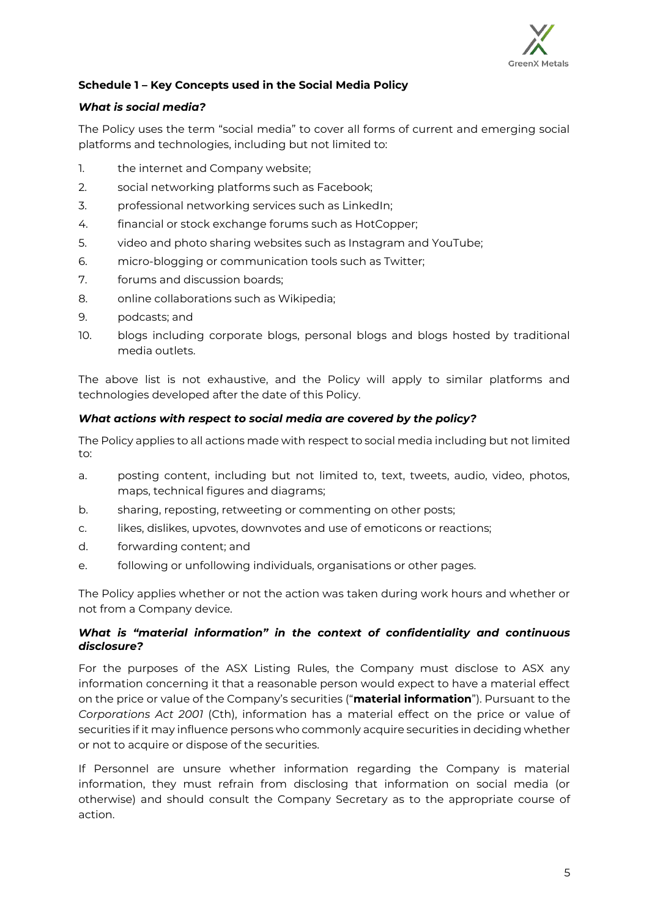

# **Schedule 1 – Key Concepts used in the Social Media Policy**

# *What is social media?*

The Policy uses the term "social media" to cover all forms of current and emerging social platforms and technologies, including but not limited to:

- 1. the internet and Company website;
- 2. social networking platforms such as Facebook;
- 3. professional networking services such as LinkedIn;
- 4. financial or stock exchange forums such as HotCopper;
- 5. video and photo sharing websites such as Instagram and YouTube;
- 6. micro-blogging or communication tools such as Twitter;
- 7. forums and discussion boards;
- 8. online collaborations such as Wikipedia;
- 9. podcasts; and
- 10. blogs including corporate blogs, personal blogs and blogs hosted by traditional media outlets.

The above list is not exhaustive, and the Policy will apply to similar platforms and technologies developed after the date of this Policy.

# *What actions with respect to social media are covered by the policy?*

The Policy applies to all actions made with respect to social media including but not limited to:

- a. posting content, including but not limited to, text, tweets, audio, video, photos, maps, technical figures and diagrams;
- b. sharing, reposting, retweeting or commenting on other posts;
- c. likes, dislikes, upvotes, downvotes and use of emoticons or reactions;
- d. forwarding content; and
- e. following or unfollowing individuals, organisations or other pages.

The Policy applies whether or not the action was taken during work hours and whether or not from a Company device.

#### *What is "material information" in the context of confidentiality and continuous disclosure?*

For the purposes of the ASX Listing Rules, the Company must disclose to ASX any information concerning it that a reasonable person would expect to have a material effect on the price or value of the Company's securities ("**material information**"). Pursuant to the *Corporations Act 2001* (Cth), information has a material effect on the price or value of securities if it may influence persons who commonly acquire securities in deciding whether or not to acquire or dispose of the securities.

If Personnel are unsure whether information regarding the Company is material information, they must refrain from disclosing that information on social media (or otherwise) and should consult the Company Secretary as to the appropriate course of action.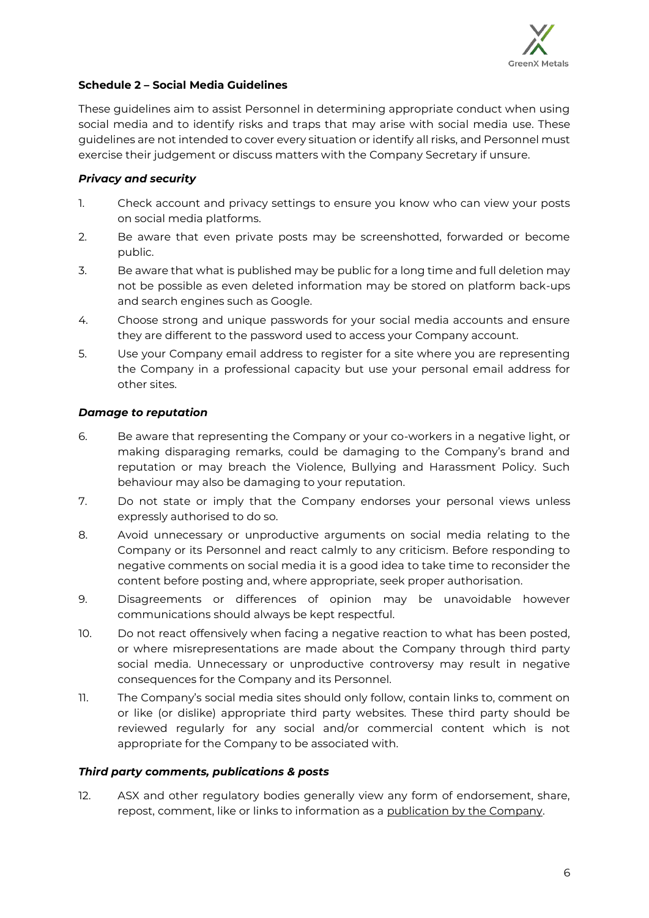

# **Schedule 2 – Social Media Guidelines**

These guidelines aim to assist Personnel in determining appropriate conduct when using social media and to identify risks and traps that may arise with social media use. These guidelines are not intended to cover every situation or identify all risks, and Personnel must exercise their judgement or discuss matters with the Company Secretary if unsure.

#### *Privacy and security*

- 1. Check account and privacy settings to ensure you know who can view your posts on social media platforms.
- 2. Be aware that even private posts may be screenshotted, forwarded or become public.
- 3. Be aware that what is published may be public for a long time and full deletion may not be possible as even deleted information may be stored on platform back-ups and search engines such as Google.
- 4. Choose strong and unique passwords for your social media accounts and ensure they are different to the password used to access your Company account.
- 5. Use your Company email address to register for a site where you are representing the Company in a professional capacity but use your personal email address for other sites.

#### *Damage to reputation*

- 6. Be aware that representing the Company or your co-workers in a negative light, or making disparaging remarks, could be damaging to the Company's brand and reputation or may breach the Violence, Bullying and Harassment Policy. Such behaviour may also be damaging to your reputation.
- 7. Do not state or imply that the Company endorses your personal views unless expressly authorised to do so.
- 8. Avoid unnecessary or unproductive arguments on social media relating to the Company or its Personnel and react calmly to any criticism. Before responding to negative comments on social media it is a good idea to take time to reconsider the content before posting and, where appropriate, seek proper authorisation.
- 9. Disagreements or differences of opinion may be unavoidable however communications should always be kept respectful.
- 10. Do not react offensively when facing a negative reaction to what has been posted, or where misrepresentations are made about the Company through third party social media. Unnecessary or unproductive controversy may result in negative consequences for the Company and its Personnel.
- 11. The Company's social media sites should only follow, contain links to, comment on or like (or dislike) appropriate third party websites. These third party should be reviewed regularly for any social and/or commercial content which is not appropriate for the Company to be associated with.

#### *Third party comments, publications & posts*

12. ASX and other regulatory bodies generally view any form of endorsement, share, repost, comment, like or links to information as a publication by the Company.